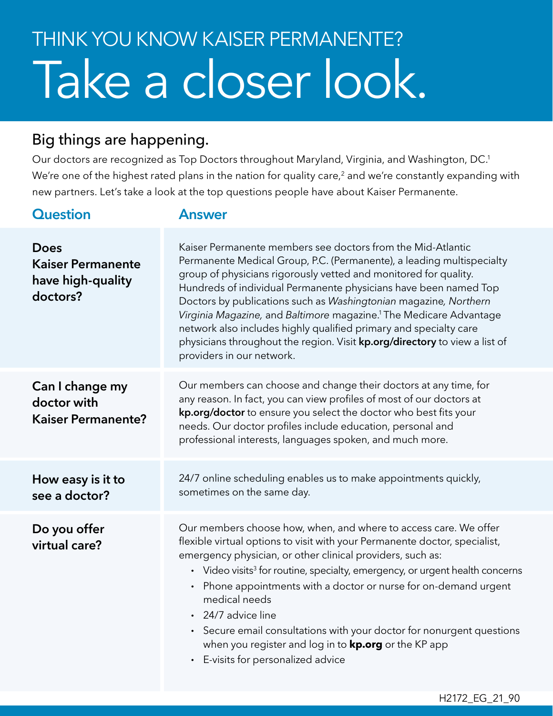## Take a closer look. THINK YOU KNOW KAISER PERMANENTE?

## Big things are happening.

Our doctors are recognized as Top Doctors throughout Maryland, Virginia, and Washington, DC.1 We're one of the highest rated plans in the nation for quality care,<sup>2</sup> and we're constantly expanding with new partners. Let's take a look at the top questions people have about Kaiser Permanente.

| <b>Question</b>                                                   | <b>Answer</b>                                                                                                                                                                                                                                                                                                                                                                                                                                                                                                                                                                                                                    |
|-------------------------------------------------------------------|----------------------------------------------------------------------------------------------------------------------------------------------------------------------------------------------------------------------------------------------------------------------------------------------------------------------------------------------------------------------------------------------------------------------------------------------------------------------------------------------------------------------------------------------------------------------------------------------------------------------------------|
| Does<br><b>Kaiser Permanente</b><br>have high-quality<br>doctors? | Kaiser Permanente members see doctors from the Mid-Atlantic<br>Permanente Medical Group, P.C. (Permanente), a leading multispecialty<br>group of physicians rigorously vetted and monitored for quality.<br>Hundreds of individual Permanente physicians have been named Top<br>Doctors by publications such as Washingtonian magazine, Northern<br>Virginia Magazine, and Baltimore magazine. <sup>1</sup> The Medicare Advantage<br>network also includes highly qualified primary and specialty care<br>physicians throughout the region. Visit <b>kp.org/directory</b> to view a list of<br>providers in our network.        |
| Can I change my<br>doctor with<br><b>Kaiser Permanente?</b>       | Our members can choose and change their doctors at any time, for<br>any reason. In fact, you can view profiles of most of our doctors at<br>kp.org/doctor to ensure you select the doctor who best fits your<br>needs. Our doctor profiles include education, personal and<br>professional interests, languages spoken, and much more.                                                                                                                                                                                                                                                                                           |
| How easy is it to<br>see a doctor?                                | 24/7 online scheduling enables us to make appointments quickly,<br>sometimes on the same day.                                                                                                                                                                                                                                                                                                                                                                                                                                                                                                                                    |
| Do you offer<br>virtual care?                                     | Our members choose how, when, and where to access care. We offer<br>flexible virtual options to visit with your Permanente doctor, specialist,<br>emergency physician, or other clinical providers, such as:<br>• Video visits <sup>3</sup> for routine, specialty, emergency, or urgent health concerns<br>Phone appointments with a doctor or nurse for on-demand urgent<br>$\bullet$<br>medical needs<br>24/7 advice line<br>Secure email consultations with your doctor for nonurgent questions<br>$\bullet$<br>when you register and log in to <b>kp.org</b> or the KP app<br>E-visits for personalized advice<br>$\bullet$ |